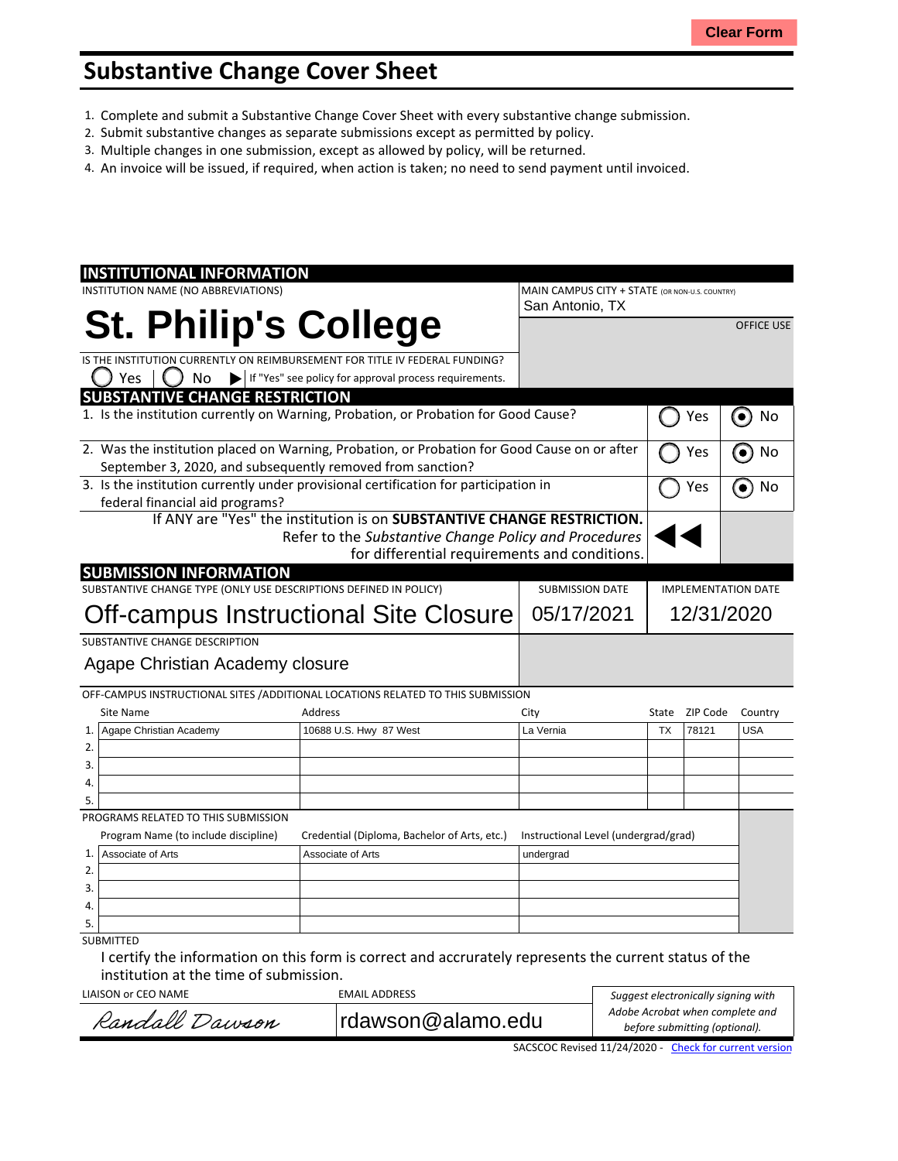## **Substantive Change Cover Sheet**

- 1. Complete and submit a Substantive Change Cover Sheet with every substantive change submission.
- 2. Submit substantive changes as separate submissions except as permitted by policy.
- 3. Multiple changes in one submission, except as allowed by policy, will be returned.
- 4. An invoice will be issued, if required, when action is taken; no need to send payment until invoiced.

| <b>INSTITUTIONAL INFORMATION</b>                                                             |                                                                                  |                                                |                            |                 |                   |
|----------------------------------------------------------------------------------------------|----------------------------------------------------------------------------------|------------------------------------------------|----------------------------|-----------------|-------------------|
| INSTITUTION NAME (NO ABBREVIATIONS)                                                          |                                                                                  | MAIN CAMPUS CITY + STATE (OR NON-U.S. COUNTRY) |                            |                 |                   |
|                                                                                              |                                                                                  | San Antonio, TX                                |                            |                 |                   |
| <b>St. Philip's College</b>                                                                  |                                                                                  |                                                |                            |                 | <b>OFFICE USE</b> |
| IS THE INSTITUTION CURRENTLY ON REIMBURSEMENT FOR TITLE IV FEDERAL FUNDING?                  |                                                                                  |                                                |                            |                 |                   |
| Yes<br>No<br>$\blacktriangleright$                                                           | If "Yes" see policy for approval process requirements.                           |                                                |                            |                 |                   |
| <b>SUBSTANTIVE CHANGE RESTRICTION</b>                                                        |                                                                                  |                                                |                            |                 |                   |
| 1. Is the institution currently on Warning, Probation, or Probation for Good Cause?          |                                                                                  |                                                | Yes                        | No<br>$\bullet$ |                   |
| 2. Was the institution placed on Warning, Probation, or Probation for Good Cause on or after |                                                                                  |                                                |                            | Yes             | No                |
| September 3, 2020, and subsequently removed from sanction?                                   |                                                                                  |                                                |                            |                 |                   |
| 3. Is the institution currently under provisional certification for participation in         |                                                                                  |                                                | Yes                        | No<br>$\bullet$ |                   |
| federal financial aid programs?                                                              |                                                                                  |                                                |                            |                 |                   |
|                                                                                              | If ANY are "Yes" the institution is on <b>SUBSTANTIVE CHANGE RESTRICTION.</b>    |                                                |                            |                 |                   |
|                                                                                              | Refer to the Substantive Change Policy and Procedures                            |                                                |                            |                 |                   |
|                                                                                              | for differential requirements and conditions.                                    |                                                |                            |                 |                   |
| <b>SUBMISSION INFORMATION</b>                                                                |                                                                                  |                                                |                            |                 |                   |
| SUBSTANTIVE CHANGE TYPE (ONLY USE DESCRIPTIONS DEFINED IN POLICY)                            |                                                                                  | <b>SUBMISSION DATE</b>                         | <b>IMPLEMENTATION DATE</b> |                 |                   |
|                                                                                              |                                                                                  | 05/17/2021                                     | 12/31/2020                 |                 |                   |
| Off-campus Instructional Site Closure                                                        |                                                                                  |                                                |                            |                 |                   |
| SUBSTANTIVE CHANGE DESCRIPTION                                                               |                                                                                  |                                                |                            |                 |                   |
| Agape Christian Academy closure                                                              |                                                                                  |                                                |                            |                 |                   |
|                                                                                              |                                                                                  |                                                |                            |                 |                   |
|                                                                                              | OFF-CAMPUS INSTRUCTIONAL SITES / ADDITIONAL LOCATIONS RELATED TO THIS SUBMISSION |                                                |                            |                 |                   |
| <b>Site Name</b>                                                                             | <b>Address</b>                                                                   | City                                           | State                      | ZIP Code        | Country           |
| Agape Christian Academy<br>1.                                                                | 10688 U.S. Hwy 87 West                                                           | La Vernia                                      | <b>TX</b>                  | 78121           | <b>USA</b>        |
| 2.                                                                                           |                                                                                  |                                                |                            |                 |                   |
| 3.                                                                                           |                                                                                  |                                                |                            |                 |                   |
| 4.                                                                                           |                                                                                  |                                                |                            |                 |                   |
| 5.                                                                                           |                                                                                  |                                                |                            |                 |                   |
| PROGRAMS RELATED TO THIS SUBMISSION                                                          |                                                                                  |                                                |                            |                 |                   |
| Program Name (to include discipline)                                                         | Credential (Diploma, Bachelor of Arts, etc.)                                     | Instructional Level (undergrad/grad)           |                            |                 |                   |
| $\mathbf{1}$ .<br>Associate of Arts                                                          | Associate of Arts                                                                | undergrad                                      |                            |                 |                   |
| 2.                                                                                           |                                                                                  |                                                |                            |                 |                   |
| 3.                                                                                           |                                                                                  |                                                |                            |                 |                   |
| 4.                                                                                           |                                                                                  |                                                |                            |                 |                   |
| 5.                                                                                           |                                                                                  |                                                |                            |                 |                   |
| <b>SUBMITTED</b>                                                                             |                                                                                  |                                                |                            |                 |                   |

I certify the information on this form is correct and accrurately represents the current status of the institution at the time of submission.

LIAISON or CEO NAME EMAIL ADDRESS

Randall Dawson rdawson@alamo.edu

| Suggest electronically signing with |
|-------------------------------------|
| Adobe Acrobat when complete and     |
| before submitting (optional).       |

SACSCOC Revised 11/24/2020 - Check for [current](http://sacscoc.org/app/uploads/2020/01/Substantive_Change_Cover_-Sheet.pdf) version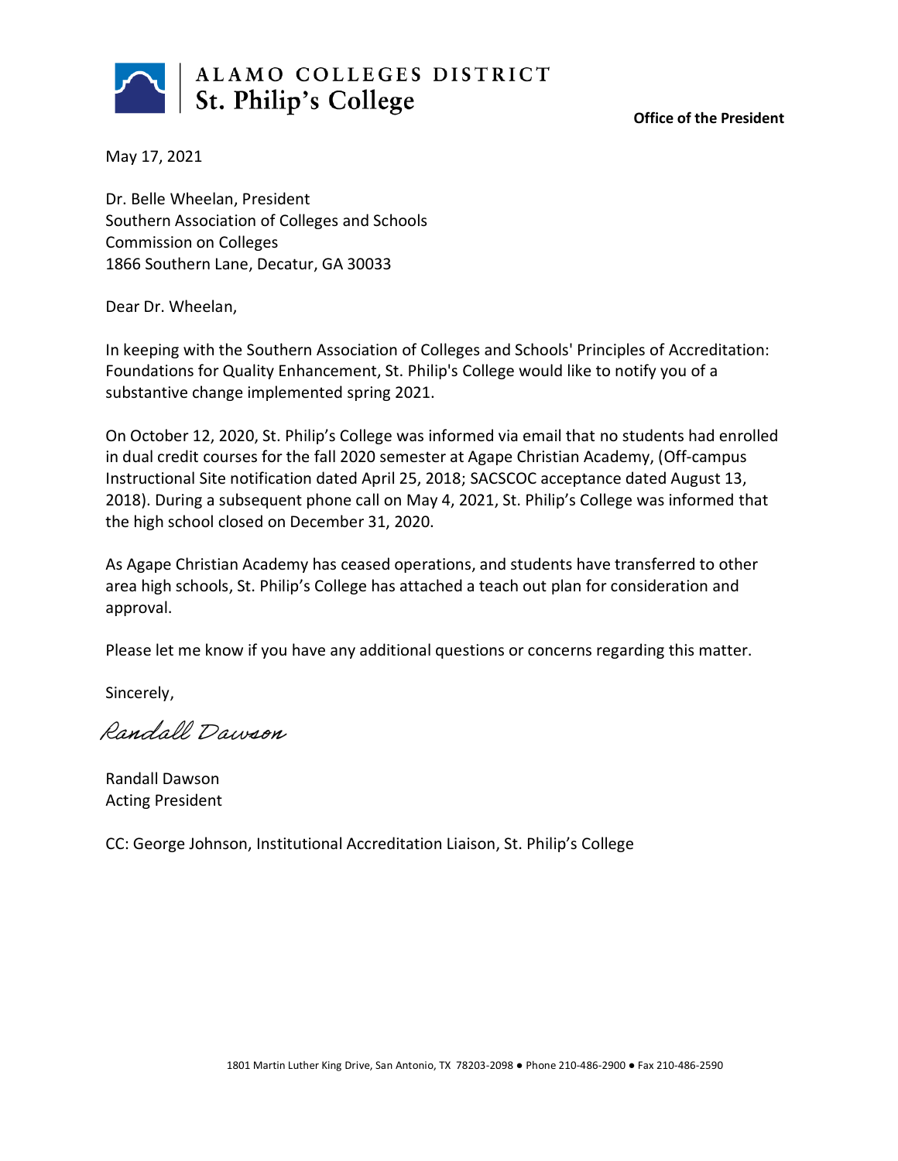

**Office of the President**

May 17, 2021

Dr. Belle Wheelan, President Southern Association of Colleges and Schools Commission on Colleges 1866 Southern Lane, Decatur, GA 30033

Dear Dr. Wheelan,

In keeping with the Southern Association of Colleges and Schools' Principles of Accreditation: Foundations for Quality Enhancement, St. Philip's College would like to notify you of a substantive change implemented spring 2021.

On October 12, 2020, St. Philip's College was informed via email that no students had enrolled in dual credit courses for the fall 2020 semester at Agape Christian Academy, (Off-campus Instructional Site notification dated April 25, 2018; SACSCOC acceptance dated August 13, 2018). During a subsequent phone call on May 4, 2021, St. Philip's College was informed that the high school closed on December 31, 2020.

As Agape Christian Academy has ceased operations, and students have transferred to other area high schools, St. Philip's College has attached a teach out plan for consideration and approval.

Please let me know if you have any additional questions or concerns regarding this matter.

Sincerely,

Randall Dawson

Randall Dawson Acting President

CC: George Johnson, Institutional Accreditation Liaison, St. Philip's College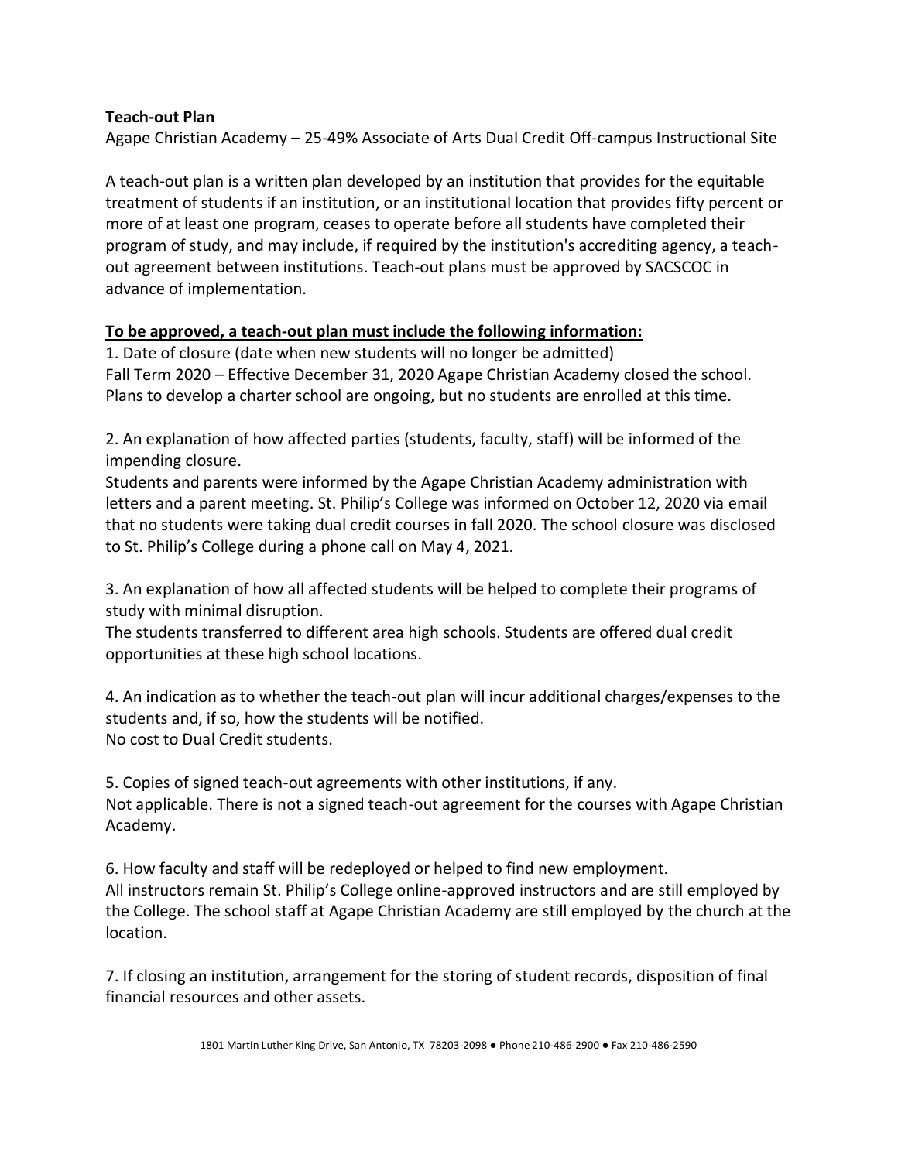## **Teach-out Plan**

Agape Christian Academy – 25-49% Associate of Arts Dual Credit Off-campus Instructional Site

A teach-out plan is a written plan developed by an institution that provides for the equitable treatment of students if an institution, or an institutional location that provides fifty percent or more of at least one program, ceases to operate before all students have completed their program of study, and may include, if required by the institution's accrediting agency, a teachout agreement between institutions. Teach-out plans must be approved by SACSCOC in advance of implementation.

## **To be approved, a teach-out plan must include the following information:**

1. Date of closure (date when new students will no longer be admitted) Fall Term 2020 – Effective December 31, 2020 Agape Christian Academy closed the school. Plans to develop a charter school are ongoing, but no students are enrolled at this time.

2. An explanation of how affected parties (students, faculty, staff) will be informed of the impending closure.

Students and parents were informed by the Agape Christian Academy administration with letters and a parent meeting. St. Philip's College was informed on October 12, 2020 via email that no students were taking dual credit courses in fall 2020. The school closure was disclosed to St. Philip's College during a phone call on May 4, 2021.

3. An explanation of how all affected students will be helped to complete their programs of study with minimal disruption.

The students transferred to different area high schools. Students are offered dual credit opportunities at these high school locations.

4. An indication as to whether the teach-out plan will incur additional charges/expenses to the students and, if so, how the students will be notified. No cost to Dual Credit students.

5. Copies of signed teach-out agreements with other institutions, if any. Not applicable. There is not a signed teach-out agreement for the courses with Agape Christian Academy.

6. How faculty and staff will be redeployed or helped to find new employment. All instructors remain St. Philip's College online-approved instructors and are still employed by the College. The school staff at Agape Christian Academy are still employed by the church at the location.

7. If closing an institution, arrangement for the storing of student records, disposition of final financial resources and other assets.